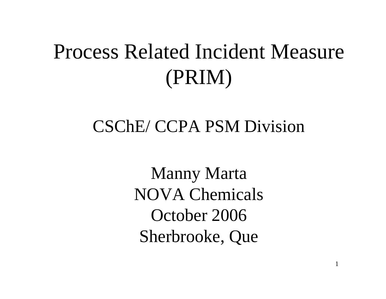## Process Related Incident Measure (PRIM)

#### CSChE/ CCPA PSM Division

Manny Marta NOVA Chemicals October 2006Sherbrooke, Que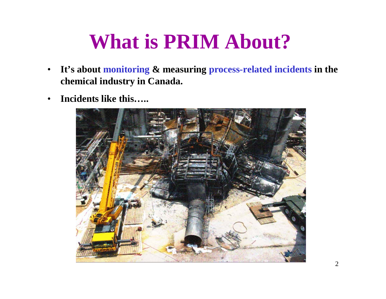## **What is PRIM About?**

- $\bullet$  **It's about monitoring & measuring process-related incidents in the chemical industry in Canada.**
- $\bullet$ **Incidents like this…..**

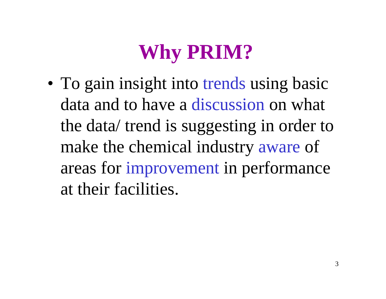# **Why PRIM?**

• To gain insight into trends using basic data and to have a discussion on what the data/ trend is suggesting in order to make the chemical industry aware of areas for improvement in performance at their facilities.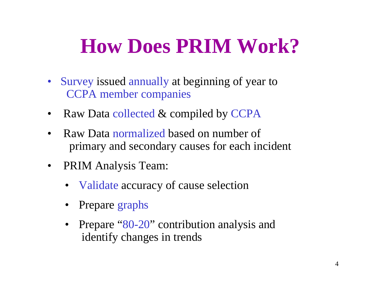# **How Does PRIM Work?**

- Survey issued annually at beginning of year to CCPA member companies
- •Raw Data collected & compiled by CCPA
- • Raw Data normalized based on number of primary and secondary causes for each incident
- $\bullet$  PRIM Analysis Team:
	- Validate accuracy of cause selection
	- •Prepare graphs
	- Prepare "80-20" contribution analysis and identify changes in trends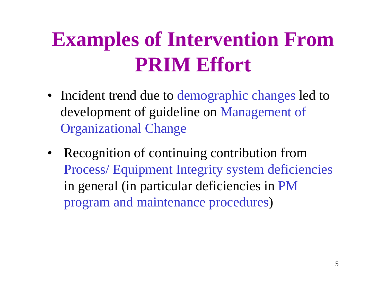# **Examples of Intervention From PRIM Effort**

- Incident trend due to demographic changes led to development of guideline on Management of Organizational Change
- Recognition of continuing contribution from Process/ Equipment Integrity system deficiencies in general (in particular deficiencies in PM program and maintenance procedures )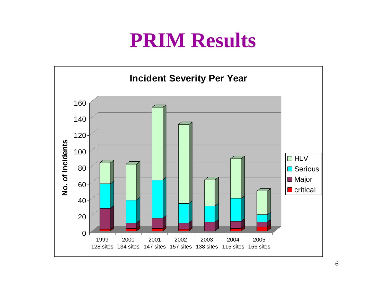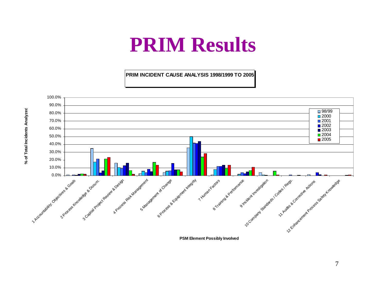**PRIM INCIDENT CAUSE ANALYSIS 1998/1999 TO 2005**



**PSM Element Possibly Involved**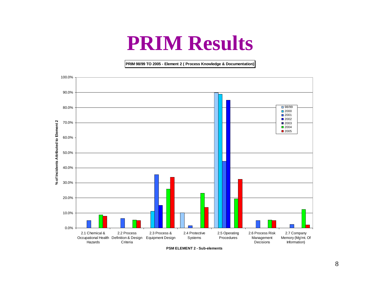**PRIM 98/99 TO 2005 - Element 2 ( Process Knowledge & Documentation)**



**PSM ELEMENT 2 - Sub-elements**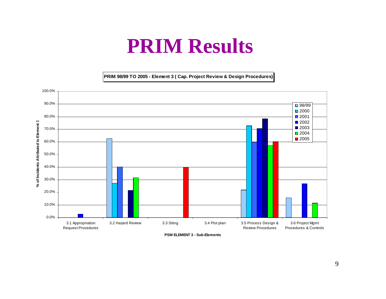**PRIM 98/99 TO 2005 - Element 3 ( Cap. Project Review & Design Procedures)**



**PSM ELEMENT 3 - Sub-Elements**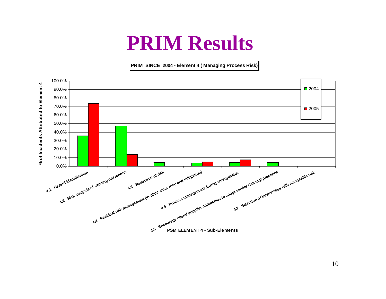**PRIM SINCE 2004 - Element 4 ( Managing Process Risk)**

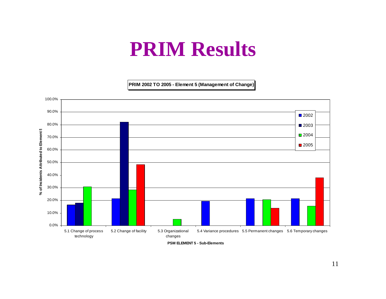**PRIM 2002 TO 2005 - Element 5 (Management of Change)**



**PSM ELEMENT 5 - Sub-Elements**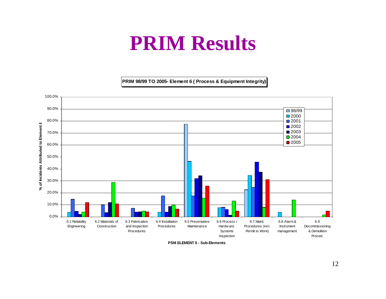**PRIM 98/99 TO 2005- Element 6 ( Process & Equipment Integrity)**



**PSM ELEMENT 6 - Sub-Elements**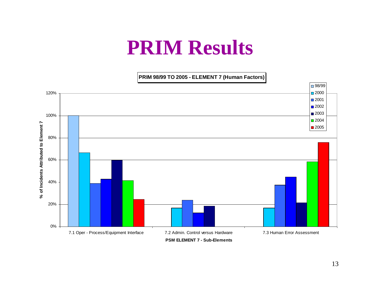